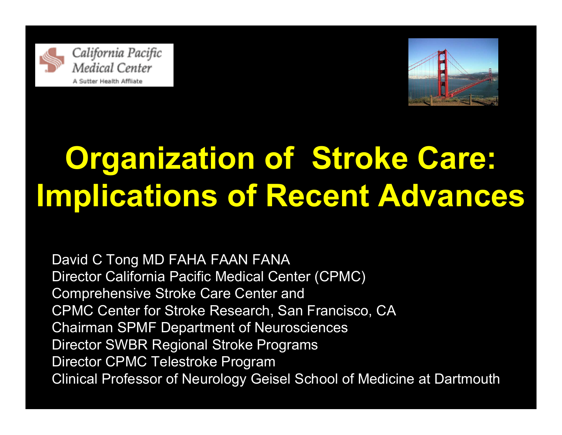



# **Organization of Stroke Care: Implications of Recent Advances**

David C Tong MD FAHA FAAN FANA Director California Pacific Medical Center (CPMC) Comprehensive Stroke Care Center and CPMC Center for Stroke Research, San Francisco, CA Chairman SPMF Department of Neurosciences Director SWBR Regional Stroke Programs Director CPMC Telestroke Program Clinical Professor of Neurology Geisel School of Medicine at Dartmouth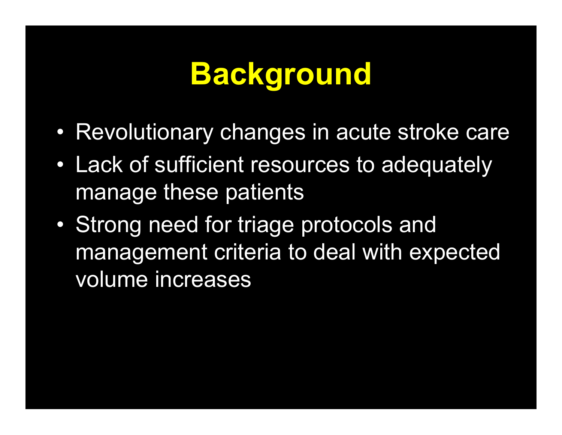## **Background**

- Revolutionary changes in acute stroke care
- $\bullet$  Lack of sufficient resources to adequately manage these patients
- $\bullet$  Strong need for triage protocols and management criteria to deal with expected volume increases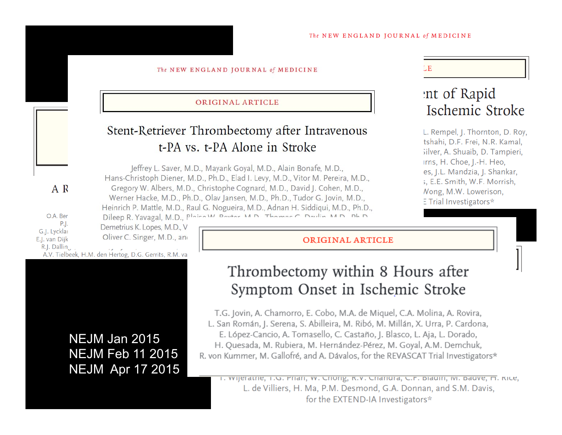#### The NEW ENGLAND JOURNAL of MEDICINE

#### ORIGINAL ARTICLE

#### Stent-Retriever Thrombectomy after Intravenous t-PA vs. t-PA Alone in Stroke

Jeffrey L. Saver, M.D., Mayank Goyal, M.D., Alain Bonafe, M.D., Hans-Christoph Diener, M.D., Ph.D., Elad I. Levy, M.D., Vitor M. Pereira, M.D., Gregory W. Albers, M.D., Christophe Cognard, M.D., David J. Cohen, M.D., Werner Hacke, M.D., Ph.D., Olav Jansen, M.D., Ph.D., Tudor G. Jovin, M.D., Heinrich P. Mattle, M.D., Raul G. Nogueira, M.D., Adnan H. Siddiqui, M.D., Ph.D., Dileep R. Yavagal, M.D., Plaise W. Paytor M.D. Thomas C. Doulin M.D. Dh.D.

#### LE.

#### int of Rapid Ischemic Stroke

L. Rempel, J. Thornton, D. Roy, tshahi, D.F. Frei, N.R. Kamal, silver, A. Shuaib, D. Tampieri, irns, H. Choe, J.-H. Heo, es, J.L. Mandzia, J. Shankar, s, E.E. Smith, W.F. Morrish, Nong, M.W. Lowerison, E Trial Investigators\*

O.A. Ber  $P.$ . G.J. Lycklar E.J. van Dijk R.J. Dalling

A R

Demetrius K. Lopes, M.D., V Oliver C. Singer, M.D., and

A.V. Tielbeek, H.M. den Hertog, D.G. Gerrits, R.M. va

#### NEJM Jan 2015NEJM Feb 11 2015NEJM Apr 17 2015

#### ORIGINAL ARTICLE

#### Thrombectomy within 8 Hours after Symptom Onset in Ischemic Stroke

T.G. Jovin, A. Chamorro, E. Cobo, M.A. de Miquel, C.A. Molina, A. Rovira, L. San Román, J. Serena, S. Abilleira, M. Ribó, M. Millán, X. Urra, P. Cardona, E. López-Cancio, A. Tomasello, C. Castaño, J. Blasco, L. Aja, L. Dorado, H. Quesada, M. Rubiera, M. Hernández-Pérez, M. Goyal, A.M. Demchuk, R. von Kummer, M. Gallofré, and A. Dávalos, for the REVASCAT Trial Investigators\*

1. Wijeratrie, T.G. Priari, W. Criong, K.V. Criariura, C.F. Diaum, M. Dauve, H. Kice, L. de Villiers, H. Ma, P.M. Desmond, G.A. Donnan, and S.M. Davis, for the EXTEND-IA Investigators\*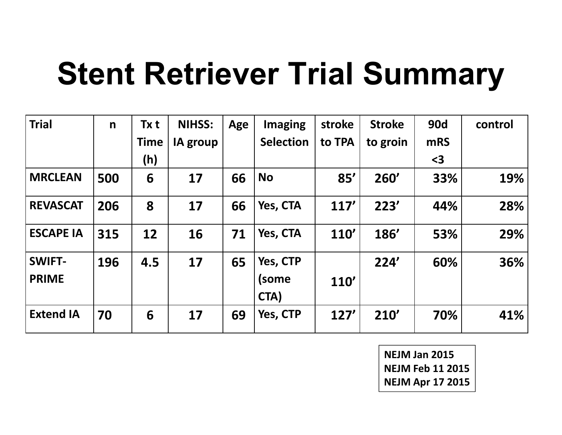# **Stent Retriever Trial Summary**

| <b>Trial</b>     | $\mathsf{n}$ | Tx t        | <b>NIHSS:</b>   | Age | <b>Imaging</b>   | stroke      | <b>Stroke</b> | <b>90d</b> | control |
|------------------|--------------|-------------|-----------------|-----|------------------|-------------|---------------|------------|---------|
|                  |              | <b>Time</b> | <b>IA group</b> |     | <b>Selection</b> | to TPA      | to groin      | <b>mRS</b> |         |
|                  |              | (h)         |                 |     |                  |             |               | $3$        |         |
| <b>MRCLEAN</b>   | 500          | 6           | 17              | 66  | <b>No</b>        | 85'         | 260'          | 33%        | 19%     |
| <b>REVASCAT</b>  | 206          | 8           | 17              | 66  | Yes, CTA         | 117'        | 223'          | 44%        | 28%     |
| <b>ESCAPE IA</b> | 315          | 12          | 16              | 71  | Yes, CTA         | <b>110'</b> | <b>186'</b>   | 53%        | 29%     |
| <b>SWIFT-</b>    | 196          | 4.5         | 17              | 65  | Yes, CTP         |             | 224'          | 60%        | 36%     |
| <b>PRIME</b>     |              |             |                 |     | (some<br>CTA)    | <b>110'</b> |               |            |         |
| <b>Extend IA</b> | 70           | 6           | 17              | 69  | Yes, CTP         | 127'        | 210'          | 70%        | 41%     |

**NEJM Jan 2015 NEJM Feb 11 2015 NEJM Apr 17 2015**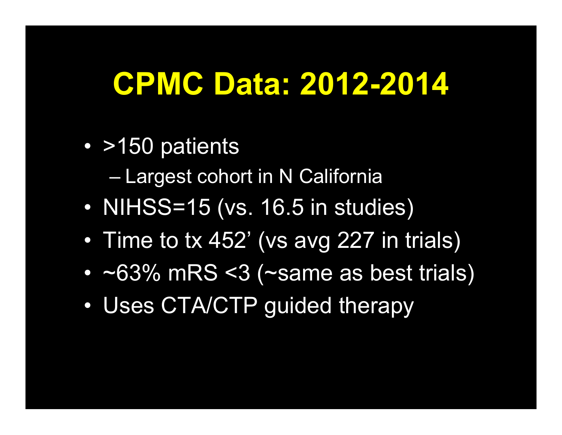#### **CPMC Data: 2012-2014**

- >150 patients
	- Largest cohort in N California
- $\bullet$ NIHSS=15 (vs. 16.5 in studies)
- $\bullet$ Time to tx 452' (vs avg 227 in trials)
- $\bullet$ ~63% mRS <3 (~same as best trials)
- $\bullet$ Uses CTA/CTP guided therapy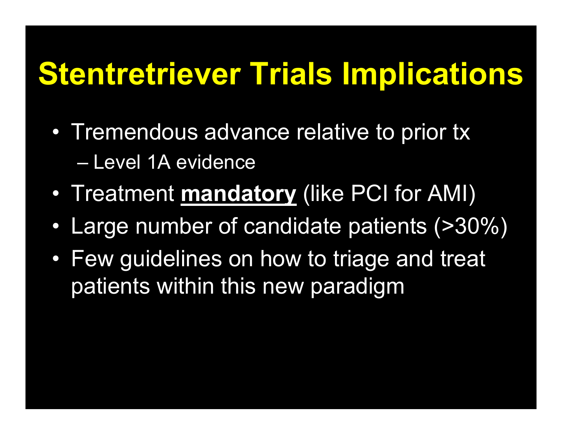# **Stentretriever Trials Implications**

- Tremendous advance relative to prior tx – Level 1A evidence
- $\bullet$ Treatment **mandatory** (like PCI for AMI)
- $\bullet$ Large number of candidate patients (>30%)
- Few guidelines on how to triage and treat patients within this new paradigm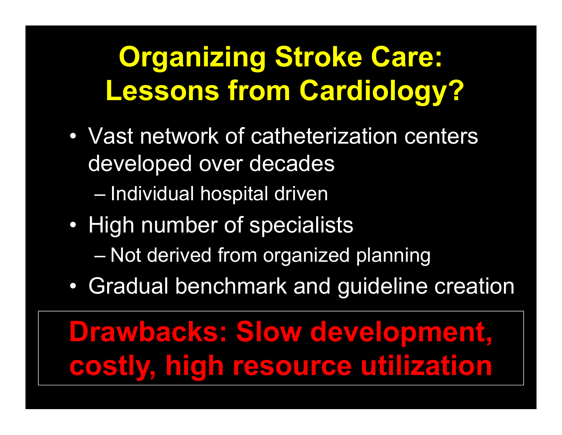## **Organizing Stroke Care: Lessons from Cardiology?**

• Vast network of catheterization centers developed over decades

Individual hospital driven

- $\bullet$  High number of specialists
	- Not derived from organized planning
- $\bullet$ Gradual benchmark and guideline creation

## **Drawbacks: Slow development, costly, high resource utilization**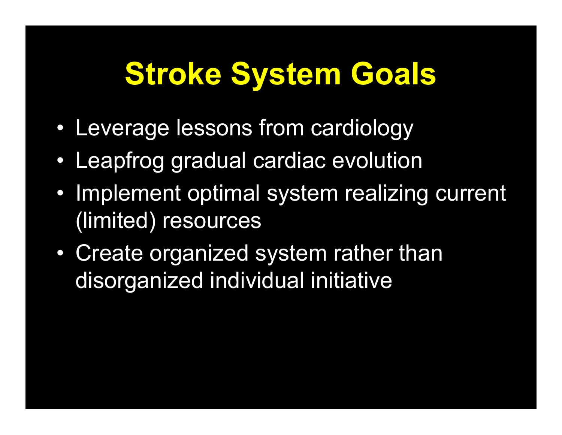# **Stroke System Goals**

- $\bullet$ Leverage lessons from cardiology
- $\bullet$ Leapfrog gradual cardiac evolution
- Implement optimal system realizing current (limited) resources
- $\bullet$  Create organized system rather than disorganized individual initiative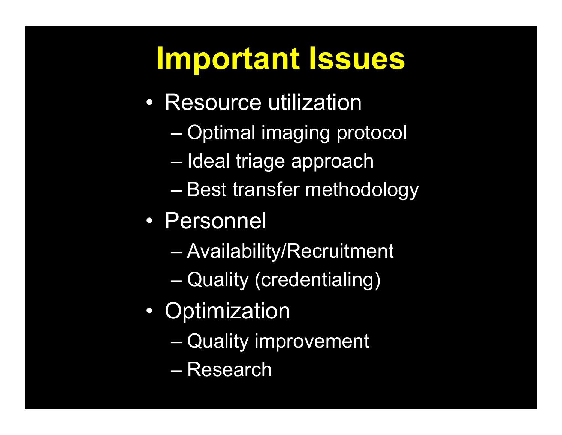# **Important Issues**

- Resource utilization
	- Optimal imaging protocol
	- Ideal triage approach
	- Best transfer methodology
- Personnel
	- Availability/Recruitment
	- Quality (credentialing)
- $\bullet$ **Optimization** 
	- Quality improvement
	- Research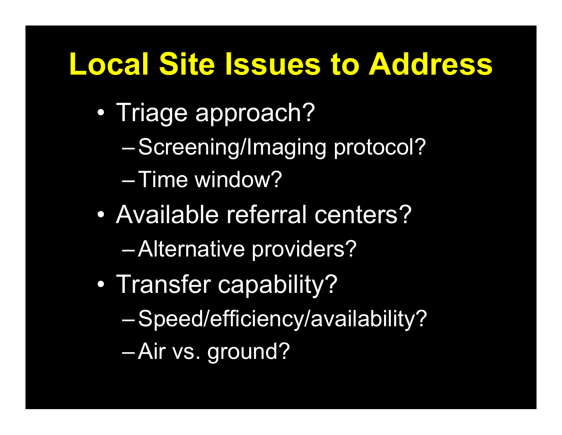### **Local Site Issues to Address**

- $\bullet$  Triage approach?
	- $\mathcal{L}_{\mathcal{A}}$ Screening/Imaging protocol?
	- Time window?
- $\bullet$  Available referral centers? $\mathcal{L}_{\mathcal{A}}$ Alternative providers?
- $\bullet$  Transfer capability?  $\mathcal{L}_{\mathcal{A}}$  Speed/efficiency/availability?  $\mathcal{L}_{\mathcal{A}}$ Air vs. ground?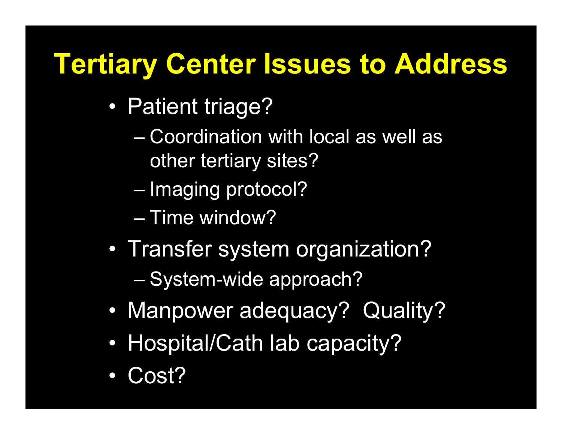#### **Tertiary Center Issues to Address**

- $\bullet$  Patient triage?
	- Coordination with local as well as other tertiary sites?
	- Imaging protocol?
	- Time window?
- $\bullet$ Transfer system organization?

System-wide approach?

- $\bullet$ Manpower adequacy? Quality?
- $\bullet$ Hospital/Cath lab capacity?
- $\bullet$ Cost?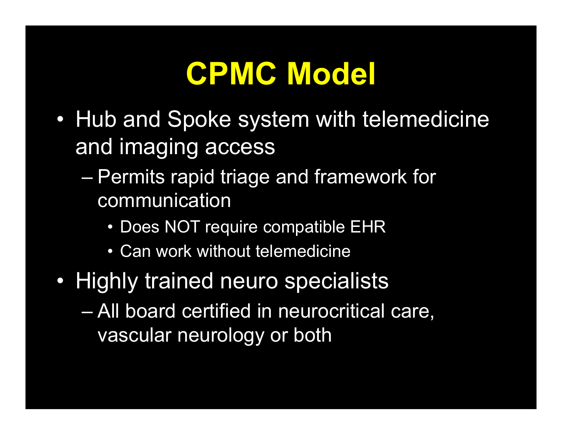# **CPMC Model**

- $\bullet$  Hub and Spoke system with telemedicine and imaging access
	- Permits rapid triage and framework for communication
		- Does NOT require compatible EHR
		- Can work without telemedicine
- Highly trained neuro specialists
	- All board certified in neurocritical care, vascular neurology or both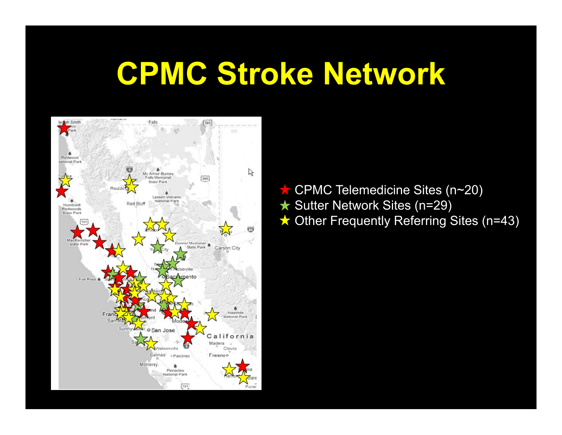#### **CPMC Stroke Network**



CPMC Telemedicine Sites (n~20) **★ Sutter Network Sites (n=29)** ★ Other Frequently Referring Sites (n=43)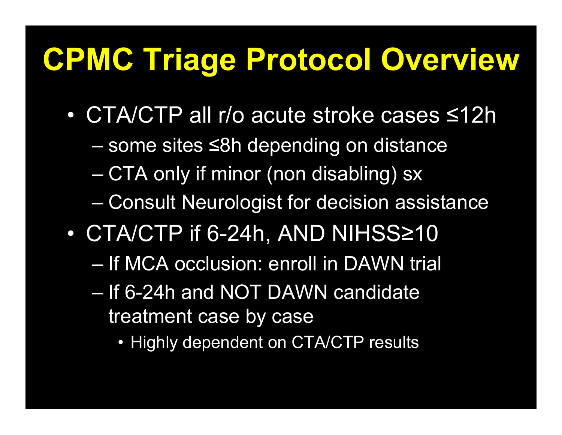# **CPMC Triage Protocol Overview**

- CTA/CTP all r/o acute stroke cases ≤12h
	- some sites <sup>≤</sup>8h depending on distance
	- CTA only if minor (non disabling) sx
	- Consult Neurologist for decision assistance
- $\bullet$  CTA/CTP if 6-24h, AND NIHSS ≥10
	- If MCA occlusion: enroll in DAWN trial
	- If 6-24h and NOT DAWN candidate treatment case by case
		- Highly dependent on CTA/CTP results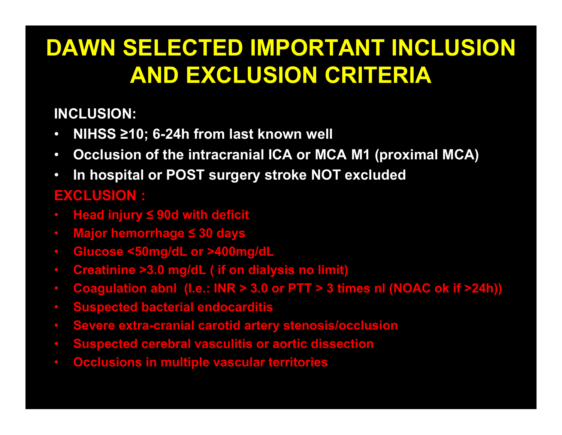#### **DAWN SELECTED IMPORTANT INCLUSION AND EXCLUSION CRITERIA**

**INCLUSION:**

- $\bullet$ **NIHSS ≥10; 6-24h from last known well**
- **Occlusion of the intracranial ICA or MCA M1 (proximal MCA)**
- $\bullet$  **In hospital or POST surgery stroke NOT excluded EXCLUSION :**
- **Head injury ≤ 90d with deficit**
- **Major hemorrhage ≤ 30 days**
- **Glucose <50mg/dL or >400mg/dL**
- **Creatinine >3.0 mg/dL ( if on dialysis no limit)**
- **Coagulation abnl (I.e.: INR > 3.0 or PTT > 3 times nl (NOAC ok if >24h))**
- **Suspected bacterial endocarditis**
- **Severe extra-cranial carotid artery stenosis/occlusion**
- **Suspected cerebral vasculitis or aortic dissection**
- **Occlusions in multiple vascular territories**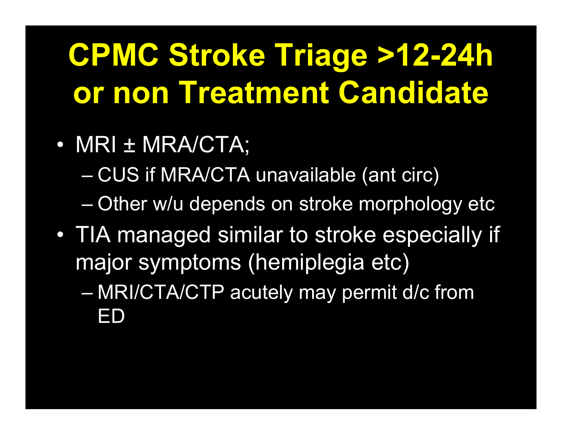# **CPMC Stroke Triage >12-24h or non Treatment Candidate**

- $\bullet$  MRI ± MRA/CTA;
	- CUS if MRA/CTA unavailable (ant circ)
	- Other w/u depends on stroke morphology etc
- $\bullet$  TIA managed similar to stroke especially if major symptoms (hemiplegia etc)
	- MRI/CTA/CTP acutely may permit d/c from ED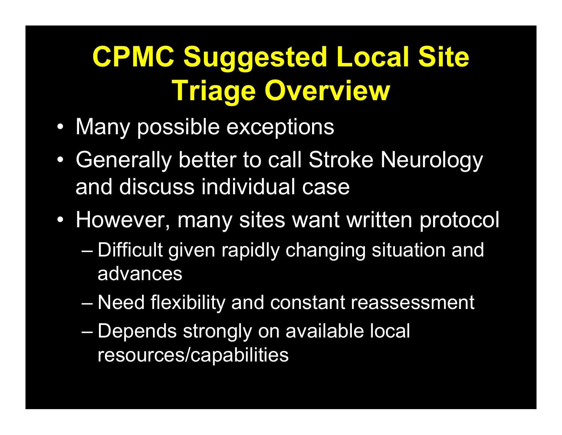## **CPMC Suggested Local Site Triage Overview**

- Many possible exceptions
- $\bullet$  Generally better to call Stroke Neurology and discuss individual case
- However, many sites want written protocol
	- Difficult given rapidly changing situation and advances
	- Need flexibility and constant reassessment
	- Depends strongly on available local resources/capabilities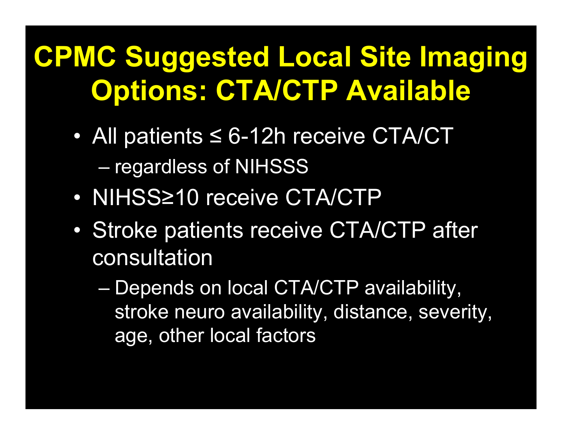## **CPMC Suggested Local Site Imaging Options: CTA/CTP Available**

- All patients ≤ 6-12h receive CTA/CT regardless of NIHSSS
- NIHSS≥10 receive CTA/CTP
- $\bullet$  Stroke patients receive CTA/CTP after consultation
	- Depends on local CTA/CTP availability, stroke neuro availability, distance, severity, age, other local factors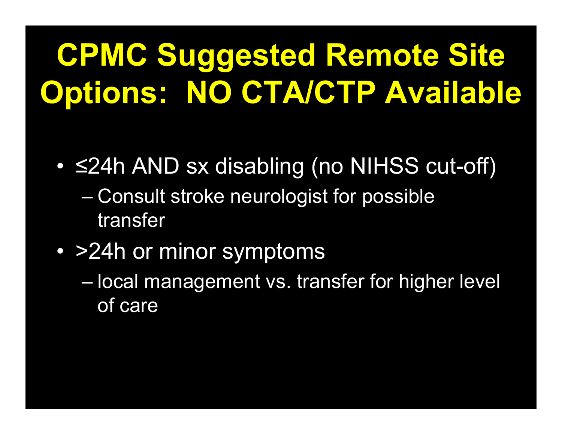# **CPMC Suggested Remote Site Options: NO CTA/CTP Available**

- $\bullet$  <sup>≤</sup>24h AND sx disabling (no NIHSS cut-off)
	- Consult stroke neurologist for possible transfer
- >24h or minor symptoms
	- local management vs. transfer for higher level of care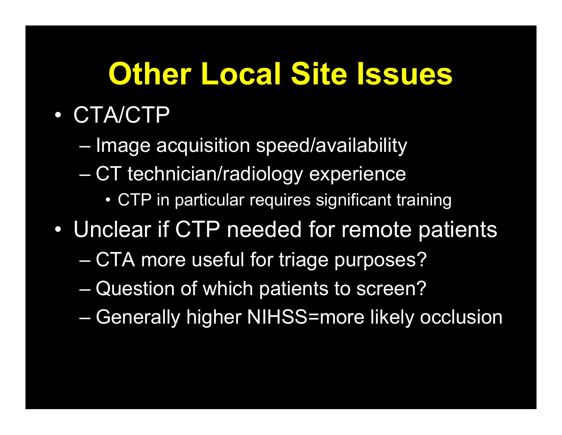# **Other Local Site Issues**

- CTA/CTP
	- Image acquisition speed/availability
	- CT technician/radiology experience
		- CTP in particular requires significant training
- $\bullet$  Unclear if CTP needed for remote patients
	- CTA more useful for triage purposes?
	- Question of which patients to screen?
	- Generally higher NIHSS=more likely occlusion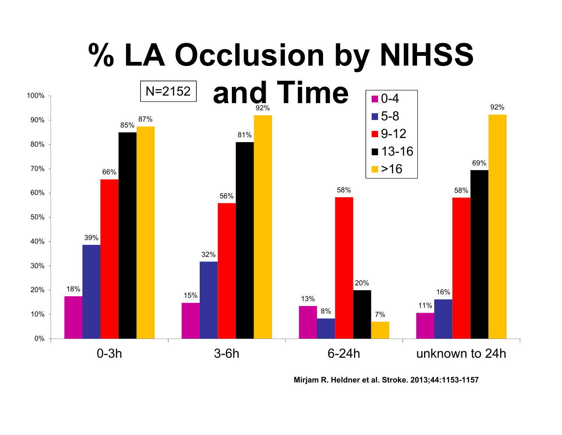

**Mirjam R. Heldner et al. Stroke. 2013;44:1153-1157**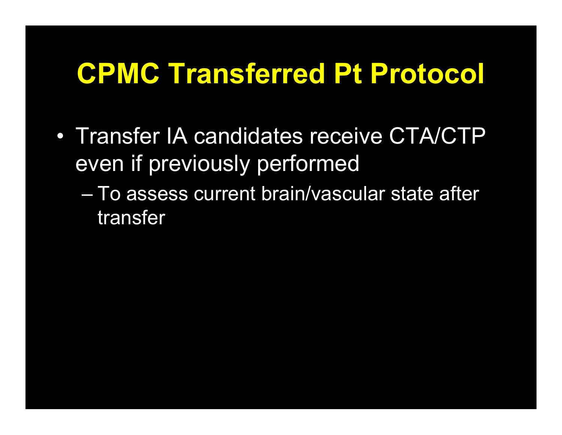#### **CPMC Transferred Pt Protocol**

- Transfer IA candidates receive CTA/CTP even if previously performed
	- To assess current brain/vascular state after transfer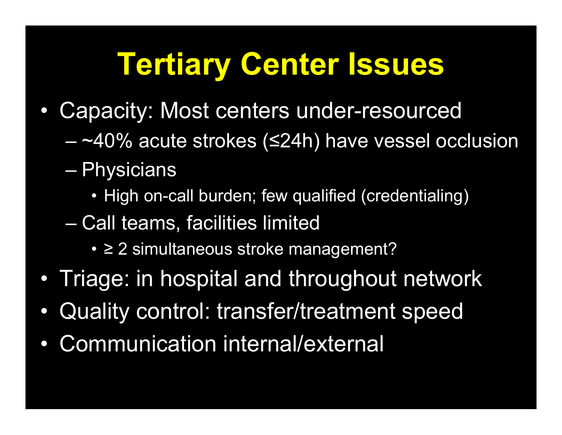# **Tertiary Center Issues**

- $\bullet$  Capacity: Most centers under-resourced
	- ~40% acute strokes ( <sup>≤</sup>24h) have vessel occlusion
	- Physicians
		- High on-call burden; few qualified (credentialing)
	- Call teams, facilities limited
		- <sup>≥</sup> 2 simultaneous stroke management?
- •Triage: in hospital and throughout network
- $\bullet$ Quality control: transfer/treatment speed
- $\bullet$ Communication internal/external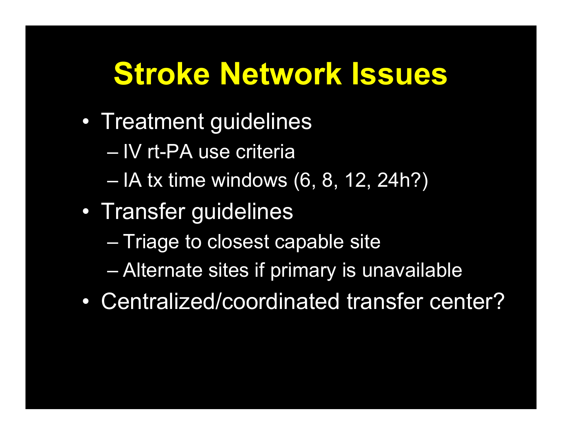# **Stroke Network Issues**

- Treatment guidelines
	- IV rt-PA use criteria
	- IA tx time windows (6, 8, 12, 24h?)
- $\bullet$  Transfer guidelines
	- Triage to closest capable site
	- Alternate sites if primary is unavailable
- Centralized/coordinated transfer center?